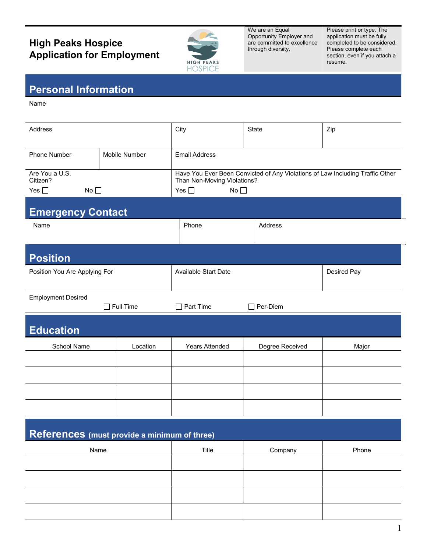## **High Peaks Hospice** Application for Employment



We are an Equal Opportunity Employer and are committed to excellence through diversity.

Please print or type. The application must be fully completed to be considered. Please complete each section, even if you attach a resume.

## Personal Information

Name

| Address                                                 |               | City                                                                                                         | <b>State</b>    | Zip         |  |
|---------------------------------------------------------|---------------|--------------------------------------------------------------------------------------------------------------|-----------------|-------------|--|
| <b>Phone Number</b>                                     | Mobile Number | <b>Email Address</b>                                                                                         |                 |             |  |
| Are You a U.S.<br>Citizen?                              |               | Have You Ever Been Convicted of Any Violations of Law Including Traffic Other<br>Than Non-Moving Violations? |                 |             |  |
| No <sub>1</sub><br>Yes $\square$<br>No<br>Yes $\square$ |               |                                                                                                              |                 |             |  |
| <b>Emergency Contact</b><br>Name                        |               | Phone                                                                                                        | Address         |             |  |
| <b>Position</b>                                         |               |                                                                                                              |                 |             |  |
| Position You Are Applying For                           |               | <b>Available Start Date</b>                                                                                  |                 | Desired Pay |  |
| <b>Employment Desired</b><br>$\Box$ Full Time           |               | $\Box$ Part Time                                                                                             | $\Box$ Per-Diem |             |  |
| <b>Education</b>                                        |               |                                                                                                              |                 |             |  |
| School Name                                             | Location      | Years Attended                                                                                               | Degree Received | Major       |  |
|                                                         |               |                                                                                                              |                 |             |  |
|                                                         |               |                                                                                                              |                 |             |  |
|                                                         |               |                                                                                                              |                 |             |  |
| References (must provide a minimum of three)            |               |                                                                                                              |                 |             |  |
| Name                                                    |               | Title                                                                                                        | Company         | Phone       |  |
|                                                         |               |                                                                                                              |                 |             |  |
|                                                         |               |                                                                                                              |                 |             |  |
|                                                         |               |                                                                                                              |                 |             |  |